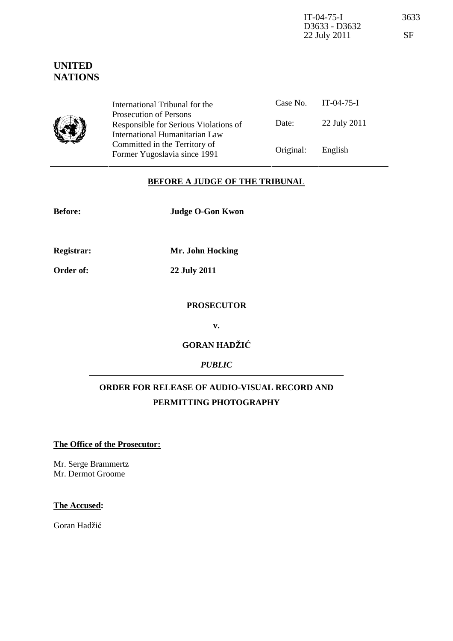IT-04-75-I 3633 D3633 - D3632 22 July 2011 SF

## **UNITED NATIONS**



Case No. IT-04-75-I Date: 22 July 2011 International Tribunal for the Prosecution of Persons Responsible for Serious Violations of International Humanitarian Law Committed in the Territory of Former Yugoslavia since 1991 **Original:** English

## **BEFORE A JUDGE OF THE TRIBUNAL**

| <b>Before:</b>    | <b>Judge O-Gon Kwon</b>                             |
|-------------------|-----------------------------------------------------|
| <b>Registrar:</b> | Mr. John Hocking                                    |
| Order of:         | 22 July 2011                                        |
|                   | <b>PROSECUTOR</b>                                   |
|                   | v.                                                  |
|                   | <b>GORAN HADŽIĆ</b>                                 |
|                   | <b>PUBLIC</b>                                       |
|                   | <b>ORDER FOR RELEASE OF AUDIO-VISUAL RECORD AND</b> |
|                   | PERMITTING PHOTOGRAPHY                              |

## **The Office of the Prosecutor:**

Mr. Serge Brammertz Mr. Dermot Groome

## **The Accused:**

Goran Hadžić